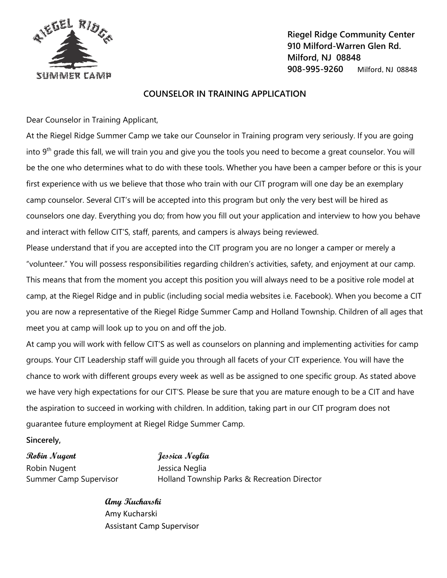

**Riegel Ridge Community Center 910 Milford-Warren Glen Rd. Milford, NJ 08848 908-995-9260** Milford, NJ 08848

## **COUNSELOR IN TRAINING APPLICATION** 908-995-9260

Dear Counselor in Training Applicant,

At the Riegel Ridge Summer Camp we take our Counselor in Training program very seriously. If you are going into 9<sup>th</sup> grade this fall, we will train you and give you the tools you need to become a great counselor. You will be the one who determines what to do with these tools. Whether you have been a camper before or this is your first experience with us we believe that those who train with our CIT program will one day be an exemplary camp counselor. Several CIT's will be accepted into this program but only the very best will be hired as counselors one day. Everything you do; from how you fill out your application and interview to how you behave and interact with fellow CIT'S, staff, parents, and campers is always being reviewed.

Please understand that if you are accepted into the CIT program you are no longer a camper or merely a "volunteer." You will possess responsibilities regarding children's activities, safety, and enjoyment at our camp. This means that from the moment you accept this position you will always need to be a positive role model at camp, at the Riegel Ridge and in public (including social media websites i.e. Facebook). When you become a CIT you are now a representative of the Riegel Ridge Summer Camp and Holland Township. Children of all ages that meet you at camp will look up to you on and off the job.

At camp you will work with fellow CIT'S as well as counselors on planning and implementing activities for camp groups. Your CIT Leadership staff will guide you through all facets of your CIT experience. You will have the chance to work with different groups every week as well as be assigned to one specific group. As stated above we have very high expectations for our CIT'S. Please be sure that you are mature enough to be a CIT and have the aspiration to succeed in working with children. In addition, taking part in our CIT program does not guarantee future employment at Riegel Ridge Summer Camp.

**Sincerely,** 

**Robin Nugent Jessica Neglia**  Robin Nugent **International Communist Communist Communist Communist Communist Communist Communist Communist Communist Communist Communist Communist Communist Communist Communist Communist Communist Communist Communist Comm** 

Summer Camp Supervisor Holland Township Parks & Recreation Director

**Amy Kucharski** Amy Kucharski Assistant Camp Supervisor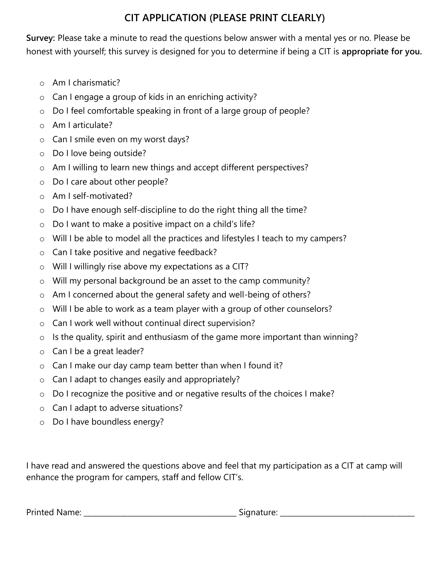## **CIT APPLICATION (PLEASE PRINT CLEARLY)**

**Survey:** Please take a minute to read the questions below answer with a mental yes or no. Please be honest with yourself; this survey is designed for you to determine if being a CIT is **appropriate for you.**

- o Am I charismatic?
- o Can I engage a group of kids in an enriching activity?
- o Do I feel comfortable speaking in front of a large group of people?
- o Am I articulate?
- o Can I smile even on my worst days?
- o Do I love being outside?
- o Am I willing to learn new things and accept different perspectives?
- o Do I care about other people?
- o Am I self-motivated?
- o Do I have enough self-discipline to do the right thing all the time?
- o Do I want to make a positive impact on a child's life?
- o Will I be able to model all the practices and lifestyles I teach to my campers?
- o Can I take positive and negative feedback?
- o Will I willingly rise above my expectations as a CIT?
- o Will my personal background be an asset to the camp community?
- o Am I concerned about the general safety and well-being of others?
- o Will I be able to work as a team player with a group of other counselors?
- o Can I work well without continual direct supervision?
- o Is the quality, spirit and enthusiasm of the game more important than winning?
- o Can I be a great leader?
- o Can I make our day camp team better than when I found it?
- o Can I adapt to changes easily and appropriately?
- o Do I recognize the positive and or negative results of the choices I make?
- o Can I adapt to adverse situations?
- o Do I have boundless energy?

I have read and answered the questions above and feel that my participation as a CIT at camp will enhance the program for campers, staff and fellow CIT's.

Printed Name: \_\_\_\_\_\_\_\_\_\_\_\_\_\_\_\_\_\_\_\_\_\_\_\_\_\_\_\_\_\_\_\_\_\_\_\_\_\_\_\_\_\_ Signature: \_\_\_\_\_\_\_\_\_\_\_\_\_\_\_\_\_\_\_\_\_\_\_\_\_\_\_\_\_\_\_\_\_\_\_\_\_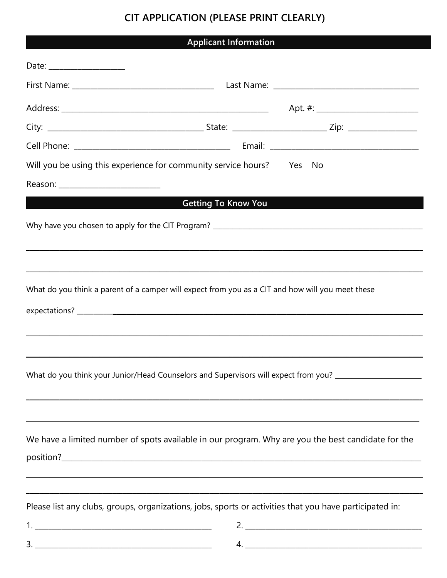## **CIT APPLICATION (PLEASE PRINT CLEARLY)**

| <b>Applicant Information</b> |  |
|------------------------------|--|
|------------------------------|--|

| Date: ________________________                                                                          |                            |                                                                                                                       |
|---------------------------------------------------------------------------------------------------------|----------------------------|-----------------------------------------------------------------------------------------------------------------------|
|                                                                                                         |                            |                                                                                                                       |
|                                                                                                         |                            |                                                                                                                       |
|                                                                                                         |                            |                                                                                                                       |
|                                                                                                         |                            |                                                                                                                       |
| Will you be using this experience for community service hours? Yes No                                   |                            |                                                                                                                       |
|                                                                                                         |                            |                                                                                                                       |
|                                                                                                         | <b>Getting To Know You</b> |                                                                                                                       |
|                                                                                                         |                            |                                                                                                                       |
|                                                                                                         |                            |                                                                                                                       |
|                                                                                                         |                            | ,我们也不会有什么。""我们的人,我们也不会有什么?""我们的人,我们也不会有什么?""我们的人,我们也不会有什么?""我们的人,我们也不会有什么?""我们的人                                      |
| What do you think a parent of a camper will expect from you as a CIT and how will you meet these        |                            |                                                                                                                       |
|                                                                                                         |                            |                                                                                                                       |
|                                                                                                         |                            |                                                                                                                       |
|                                                                                                         |                            |                                                                                                                       |
| What do you think your Junior/Head Counselors and Supervisors will expect from you?                     |                            |                                                                                                                       |
|                                                                                                         |                            |                                                                                                                       |
|                                                                                                         |                            |                                                                                                                       |
|                                                                                                         |                            | We have a limited number of spots available in our program. Why are you the best candidate for the                    |
|                                                                                                         |                            | <u> 1989 - Jan Samuel Barbara, margaret a shekara ta 1989 - An tsara tsara tsara tsara tsara tsara tsara tsara t</u>  |
| Please list any clubs, groups, organizations, jobs, sports or activities that you have participated in: |                            | <u> 1989 - Johann Stoff, deutscher Stoffen und der Stoffen und der Stoffen und der Stoffen und der Stoffen und de</u> |
|                                                                                                         |                            |                                                                                                                       |
|                                                                                                         |                            |                                                                                                                       |